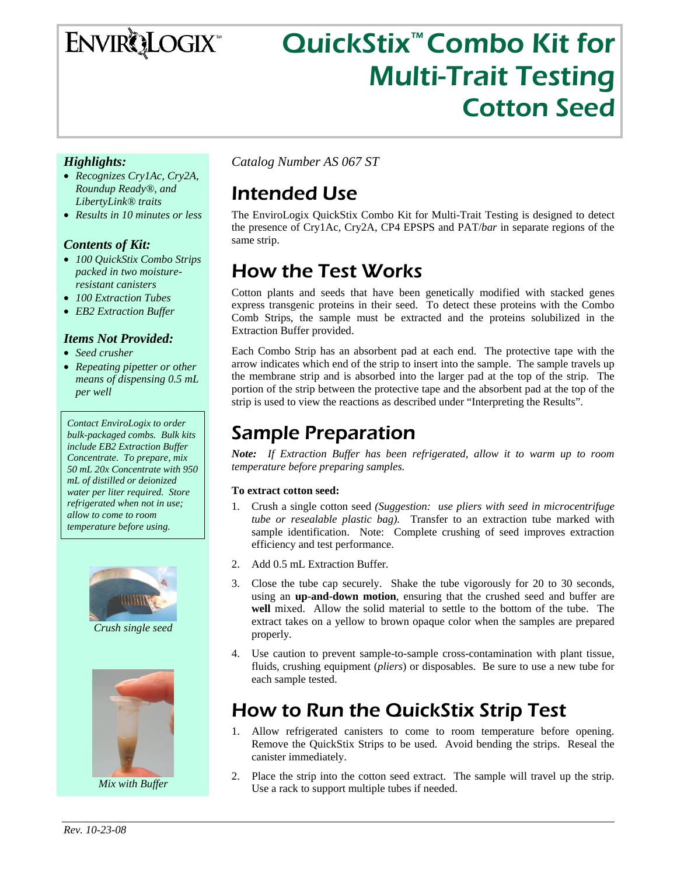## **ENVIRQLOGIX**

# QuickStix<sup>™</sup> Combo Kit for Multi-Trait Testing Cotton Seed

#### *Highlights:*

- *Recognizes Cry1Ac, Cry2A, Roundup Ready®, and LibertyLink® traits*
- *Results in 10 minutes or less*

#### *Contents of Kit:*

- *100 QuickStix Combo Strips packed in two moistureresistant canisters*
- *100 Extraction Tubes*
- *EB2 Extraction Buffer*

#### *Items Not Provided:*

- *Seed crusher*
- *Repeating pipetter or other means of dispensing 0.5 mL per well*

*Contact EnviroLogix to order bulk-packaged combs. Bulk kits include EB2 Extraction Buffer Concentrate. To prepare, mix 50 mL 20x Concentrate with 950 mL of distilled or deionized water per liter required. Store refrigerated when not in use; allow to come to room temperature before using.* 



*Crush single seed* 



*Mix with Buffer* 

*Catalog Number AS 067 ST* 

### Intended Use

The EnviroLogix QuickStix Combo Kit for Multi-Trait Testing is designed to detect the presence of Cry1Ac, Cry2A, CP4 EPSPS and PAT/*bar* in separate regions of the same strip.

### How the Test Works

Cotton plants and seeds that have been genetically modified with stacked genes express transgenic proteins in their seed. To detect these proteins with the Combo Comb Strips, the sample must be extracted and the proteins solubilized in the Extraction Buffer provided.

Each Combo Strip has an absorbent pad at each end. The protective tape with the arrow indicates which end of the strip to insert into the sample. The sample travels up the membrane strip and is absorbed into the larger pad at the top of the strip. The portion of the strip between the protective tape and the absorbent pad at the top of the strip is used to view the reactions as described under "Interpreting the Results".

### Sample Preparation

*Note: If Extraction Buffer has been refrigerated, allow it to warm up to room temperature before preparing samples.* 

#### **To extract cotton seed:**

- 1. Crush a single cotton seed *(Suggestion: use pliers with seed in microcentrifuge tube or resealable plastic bag).* Transfer to an extraction tube marked with sample identification. Note: Complete crushing of seed improves extraction efficiency and test performance.
- 2. Add 0.5 mL Extraction Buffer.
- 3. Close the tube cap securely. Shake the tube vigorously for 20 to 30 seconds, using an **up-and-down motion**, ensuring that the crushed seed and buffer are **well** mixed. Allow the solid material to settle to the bottom of the tube. The extract takes on a yellow to brown opaque color when the samples are prepared properly.
- 4. Use caution to prevent sample-to-sample cross-contamination with plant tissue, fluids, crushing equipment (*pliers*) or disposables. Be sure to use a new tube for each sample tested.

### How to Run the QuickStix Strip Test

- 1. Allow refrigerated canisters to come to room temperature before opening. Remove the QuickStix Strips to be used. Avoid bending the strips. Reseal the canister immediately.
- 2. Place the strip into the cotton seed extract. The sample will travel up the strip. Use a rack to support multiple tubes if needed.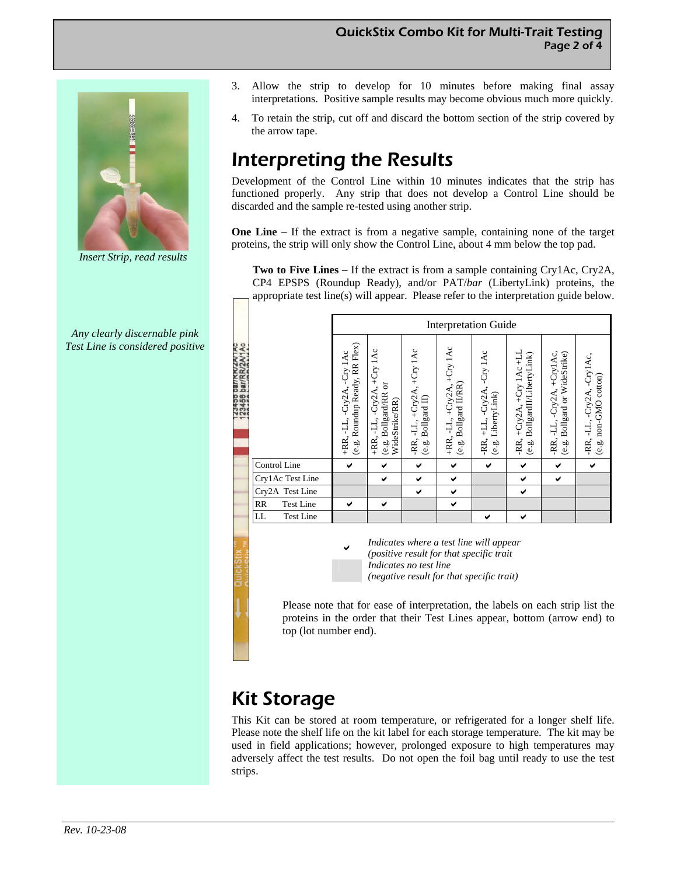

*Insert Strip, read results* 

*Any clearly discernable pink Test Line is considered positive* 

- 3. Allow the strip to develop for 10 minutes before making final assay interpretations. Positive sample results may become obvious much more quickly.
- 4. To retain the strip, cut off and discard the bottom section of the strip covered by the arrow tape.

### Interpreting the Results

Development of the Control Line within 10 minutes indicates that the strip has functioned properly. Any strip that does not develop a Control Line should be discarded and the sample re-tested using another strip.

**One Line** – If the extract is from a negative sample, containing none of the target proteins, the strip will only show the Control Line, about 4 mm below the top pad.

**Two to Five Lines** – If the extract is from a sample containing Cry1Ac, Cry2A, CP4 EPSPS (Roundup Ready), and/or PAT/*bar* (LibertyLink) proteins, the appropriate test line(s) will appear. Please refer to the interpretation guide below.

| 2AV1AC                                                                                                                                                                                                                                                                                              |                                                                                                                               |                                                                 |                                                     |
|-----------------------------------------------------------------------------------------------------------------------------------------------------------------------------------------------------------------------------------------------------------------------------------------------------|-------------------------------------------------------------------------------------------------------------------------------|-----------------------------------------------------------------|-----------------------------------------------------|
| Roundup Ready, RR Flex)<br>+Cry 1Ac<br>+Cry 1Ac<br>-LL, +Cry2A, +Cry 1Ac<br>-Cry 1Ac<br>Ÿ<br>3456 bar/<br>Bollgard II/RR)<br>(e.g. Bollgard/RR or<br>$+Cry2A,$<br>-Cry2A,<br>+RR, -LL, -Cry2A,<br>Bollgard II)<br>WideStrike/RR)<br>$+RR, -LL,$<br>H,<br>+RR,<br>-RR,<br>ن<br>وي<br>e.s.<br>رف<br>ف | +Cry 1Ac +LL<br>-Cry 1Ac<br>BollgardII/LibertyLink)<br>+LL, -Cry2A,<br>LibertyLink)<br>-RR, +Cry2A,<br>-RR,<br>ن<br>ق<br>e.g. | -LL, -Cry2A, +Cry1Ac,<br>Bollgard or WideStrike)<br>-RR,<br>é.ġ | -RR, -LL, -Cry2A, -Cry1Ac,<br>(e.g. non-GMO cotton) |
| Control Line<br>✔<br>✔<br>✔<br>✔                                                                                                                                                                                                                                                                    | ✔<br>✔                                                                                                                        | ✔                                                               | ✔                                                   |
| Cry1Ac Test Line<br>✔<br>✔<br>✔                                                                                                                                                                                                                                                                     | ✔                                                                                                                             | ✔                                                               |                                                     |
| Cry2A Test Line<br>✔<br>✔                                                                                                                                                                                                                                                                           | ✔                                                                                                                             |                                                                 |                                                     |
| RR<br><b>Test Line</b><br>✔<br>✔<br>✔                                                                                                                                                                                                                                                               |                                                                                                                               |                                                                 |                                                     |
| LL<br><b>Test Line</b>                                                                                                                                                                                                                                                                              | ✔<br>✔                                                                                                                        |                                                                 |                                                     |

<sup>D</sup> *Indicates where a test line will appear (positive result for that specific trait Indicates no test line (negative result for that specific trait)* 

Please note that for ease of interpretation, the labels on each strip list the proteins in the order that their Test Lines appear, bottom (arrow end) to top (lot number end).

#### Kit Storage

This Kit can be stored at room temperature, or refrigerated for a longer shelf life. Please note the shelf life on the kit label for each storage temperature. The kit may be used in field applications; however, prolonged exposure to high temperatures may adversely affect the test results. Do not open the foil bag until ready to use the test strips.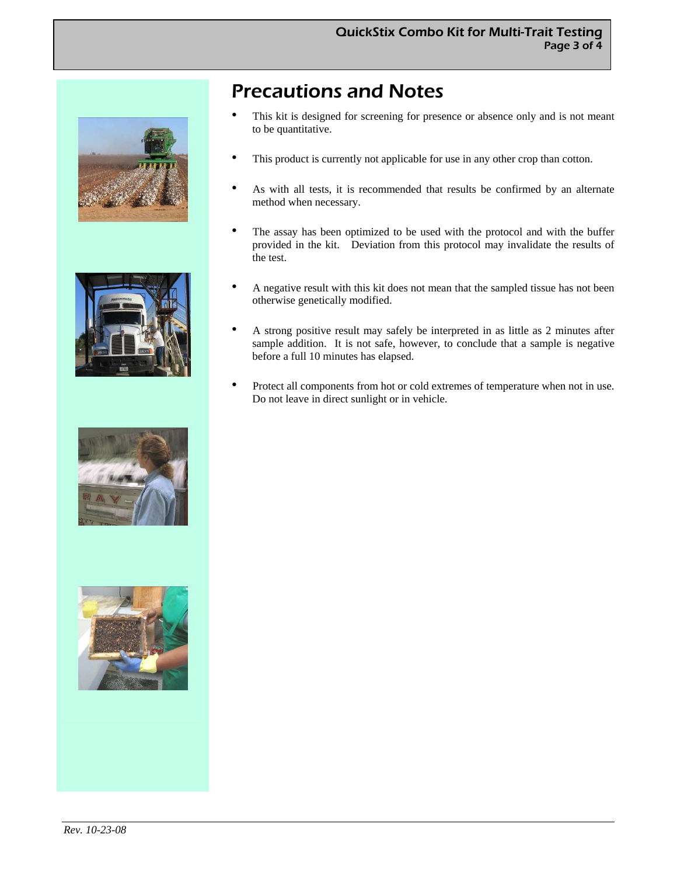







#### Precautions and Notes

- This kit is designed for screening for presence or absence only and is not meant to be quantitative.
- This product is currently not applicable for use in any other crop than cotton.
- As with all tests, it is recommended that results be confirmed by an alternate method when necessary.
- The assay has been optimized to be used with the protocol and with the buffer provided in the kit. Deviation from this protocol may invalidate the results of the test.
- A negative result with this kit does not mean that the sampled tissue has not been otherwise genetically modified.
- A strong positive result may safely be interpreted in as little as 2 minutes after sample addition. It is not safe, however, to conclude that a sample is negative before a full 10 minutes has elapsed.
- Protect all components from hot or cold extremes of temperature when not in use. Do not leave in direct sunlight or in vehicle.